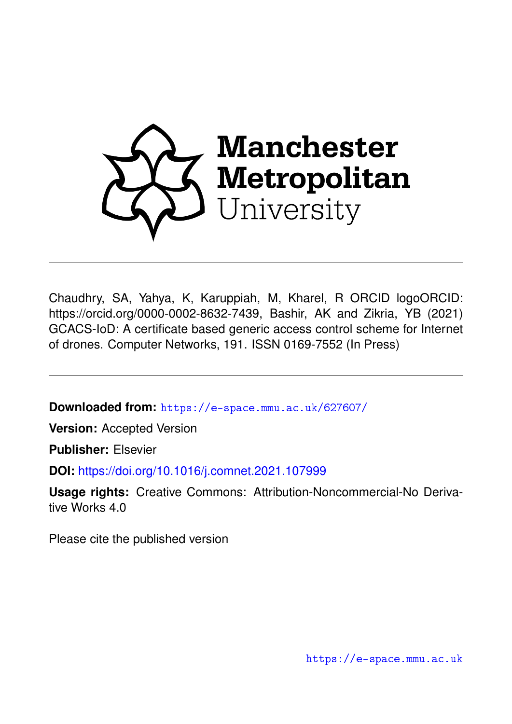

Chaudhry, SA, Yahya, K, Karuppiah, M, Kharel, R ORCID logoORCID: https://orcid.org/0000-0002-8632-7439, Bashir, AK and Zikria, YB (2021) GCACS-IoD: A certificate based generic access control scheme for Internet of drones. Computer Networks, 191. ISSN 0169-7552 (In Press)

**Downloaded from:** <https://e-space.mmu.ac.uk/627607/>

**Version:** Accepted Version

**Publisher:** Elsevier

**DOI:** <https://doi.org/10.1016/j.comnet.2021.107999>

**Usage rights:** Creative Commons: Attribution-Noncommercial-No Derivative Works 4.0

Please cite the published version

<https://e-space.mmu.ac.uk>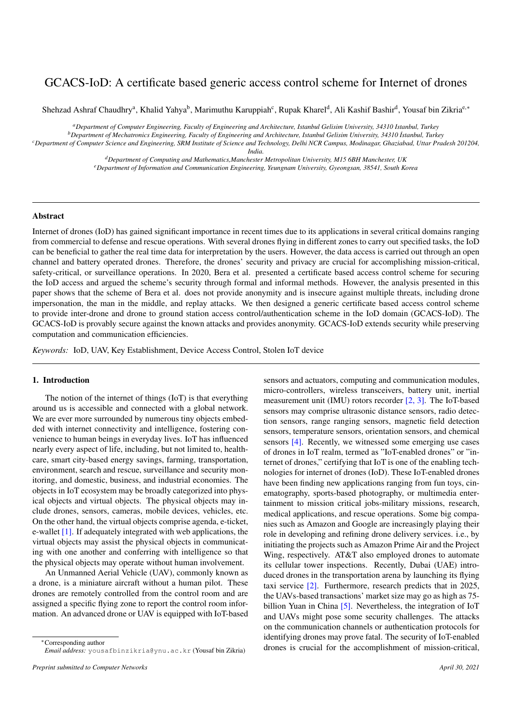# GCACS-IoD: A certificate based generic access control scheme for Internet of drones

Shehzad Ashraf Chaudhry<sup>a</sup>, Khalid Yahya<sup>b</sup>, Marimuthu Karuppiah<sup>c</sup>, Rupak Kharel<sup>d</sup>, Ali Kashif Bashir<sup>d</sup>, Yousaf bin Zikria<sup>e,</sup>\*

*<sup>a</sup>Department of Computer Engineering, Faculty of Engineering and Architecture, Istanbul Gelisim University, 34310 Istanbul, Turkey*

*<sup>b</sup>Department of Mechatronics Engineering, Faculty of Engineering and Architecture, Istanbul Gelisim University, 34310 ˙Istanbul, Turkey <sup>c</sup>Department of Computer Science and Engineering, SRM Institute of Science and Technology, Delhi NCR Campus, Modinagar, Ghaziabad, Uttar Pradesh 201204,*

*India.*

*<sup>d</sup>Department of Computing and Mathematics,Manchester Metropolitan University, M15 6BH Manchester, UK*

*<sup>e</sup>Department of Information and Communication Engineering, Yeungnam University, Gyeongsan, 38541, South Korea*

## Abstract

Internet of drones (IoD) has gained significant importance in recent times due to its applications in several critical domains ranging from commercial to defense and rescue operations. With several drones flying in different zones to carry out specified tasks, the IoD can be beneficial to gather the real time data for interpretation by the users. However, the data access is carried out through an open channel and battery operated drones. Therefore, the drones' security and privacy are crucial for accomplishing mission-critical, safety-critical, or surveillance operations. In 2020, Bera et al. presented a certificate based access control scheme for securing the IoD access and argued the scheme's security through formal and informal methods. However, the analysis presented in this paper shows that the scheme of Bera et al. does not provide anonymity and is insecure against multiple threats, including drone impersonation, the man in the middle, and replay attacks. We then designed a generic certificate based access control scheme to provide inter-drone and drone to ground station access control/authentication scheme in the IoD domain (GCACS-IoD). The GCACS-IoD is provably secure against the known attacks and provides anonymity. GCACS-IoD extends security while preserving computation and communication efficiencies.

*Keywords:* IoD, UAV, Key Establishment, Device Access Control, Stolen IoT device

## 1. Introduction

The notion of the internet of things (IoT) is that everything around us is accessible and connected with a global network. We are ever more surrounded by numerous tiny objects embedded with internet connectivity and intelligence, fostering convenience to human beings in everyday lives. IoT has influenced nearly every aspect of life, including, but not limited to, healthcare, smart city-based energy savings, farming, transportation, environment, search and rescue, surveillance and security monitoring, and domestic, business, and industrial economies. The objects in IoT ecosystem may be broadly categorized into physical objects and virtual objects. The physical objects may include drones, sensors, cameras, mobile devices, vehicles, etc. On the other hand, the virtual objects comprise agenda, e-ticket, e-wallet [\[1\]](#page-10-0). If adequately integrated with web applications, the virtual objects may assist the physical objects in communicating with one another and conferring with intelligence so that the physical objects may operate without human involvement.

An Unmanned Aerial Vehicle (UAV), commonly known as a drone, is a miniature aircraft without a human pilot. These drones are remotely controlled from the control room and are assigned a specific flying zone to report the control room information. An advanced drone or UAV is equipped with IoT-based

<sup>∗</sup>Corresponding author *Email address:* yousafbinzikria@ynu.ac.kr (Yousaf bin Zikria)

sensors and actuators, computing and communication modules, micro-controllers, wireless transceivers, battery unit, inertial measurement unit (IMU) rotors recorder [\[2,](#page-10-1) [3\]](#page-10-2). The IoT-based sensors may comprise ultrasonic distance sensors, radio detection sensors, range ranging sensors, magnetic field detection sensors, temperature sensors, orientation sensors, and chemical sensors [\[4\]](#page-10-3). Recently, we witnessed some emerging use cases of drones in IoT realm, termed as "IoT-enabled drones" or "internet of drones," certifying that IoT is one of the enabling technologies for internet of drones (IoD). These IoT-enabled drones have been finding new applications ranging from fun toys, cinematography, sports-based photography, or multimedia entertainment to mission critical jobs-military missions, research, medical applications, and rescue operations. Some big companies such as Amazon and Google are increasingly playing their role in developing and refining drone delivery services. i.e., by initiating the projects such as Amazon Prime Air and the Project Wing, respectively. AT&T also employed drones to automate its cellular tower inspections. Recently, Dubai (UAE) introduced drones in the transportation arena by launching its flying taxi service [\[2\]](#page-10-1). Furthermore, research predicts that in 2025, the UAVs-based transactions' market size may go as high as 75- billion Yuan in China [\[5\]](#page-10-4). Nevertheless, the integration of IoT and UAVs might pose some security challenges. The attacks on the communication channels or authentication protocols for identifying drones may prove fatal. The security of IoT-enabled drones is crucial for the accomplishment of mission-critical,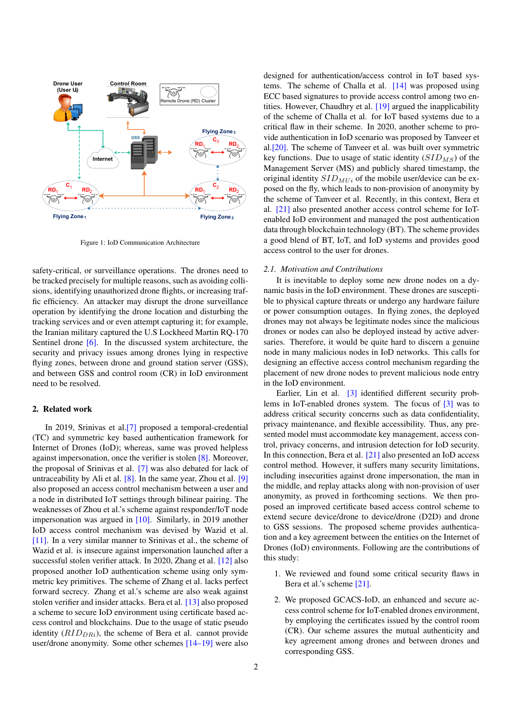<span id="page-2-0"></span>

Figure 1: IoD Communication Architecture

safety-critical, or surveillance operations. The drones need to be tracked precisely for multiple reasons, such as avoiding collisions, identifying unauthorized drone flights, or increasing traffic efficiency. An attacker may disrupt the drone surveillance operation by identifying the drone location and disturbing the tracking services and or even attempt capturing it; for example, the Iranian military captured the U.S Lockheed Martin RQ-170 Sentinel drone [\[6\]](#page-10-5). In the discussed system architecture, the security and privacy issues among drones lying in respective flying zones, between drone and ground station server (GSS), and between GSS and control room (CR) in IoD environment need to be resolved.

## 2. Related work

In 2019, Srinivas et al.[\[7\]](#page-10-6) proposed a temporal-credential (TC) and symmetric key based authentication framework for Internet of Drones (IoD); whereas, same was proved helpless against impersonation, once the verifier is stolen [\[8\]](#page-10-7). Moreover, the proposal of Srinivas et al. [\[7\]](#page-10-6) was also debated for lack of untraceability by Ali et al.  $[8]$ . In the same year, Zhou et al.  $[9]$ also proposed an access control mechanism between a user and a node in distributed IoT settings through bilinear pairing. The weaknesses of Zhou et al.'s scheme against responder/IoT node impersonation was argued in [\[10\]](#page-11-0). Similarly, in 2019 another IoD access control mechanism was devised by Wazid et al. [\[11\]](#page-11-1). In a very similar manner to Srinivas et al., the scheme of Wazid et al. is insecure against impersonation launched after a successful stolen verifier attack. In 2020, Zhang et al. [\[12\]](#page-11-2) also proposed another IoD authentication scheme using only symmetric key primitives. The scheme of Zhang et al. lacks perfect forward secrecy. Zhang et al.'s scheme are also weak against stolen verifier and insider attacks. Bera et al. [\[13\]](#page-11-3) also proposed a scheme to secure IoD environment using certificate based access control and blockchains. Due to the usage of static pseudo identity  $(RID<sub>DRi</sub>)$ , the scheme of Bera et al. cannot provide user/drone anonymity. Some other schemes [\[14](#page-11-4)[–19\]](#page-11-5) were also designed for authentication/access control in IoT based systems. The scheme of Challa et al. [\[14\]](#page-11-4) was proposed using ECC based signatures to provide access control among two entities. However, Chaudhry et al. [\[19\]](#page-11-5) argued the inapplicability of the scheme of Challa et al. for IoT based systems due to a critical flaw in their scheme. In 2020, another scheme to provide authentication in IoD scenario was proposed by Tanveer et al.[\[20\]](#page-11-6). The scheme of Tanveer et al. was built over symmetric key functions. Due to usage of static identity  $(SID<sub>MS</sub>)$  of the Management Server (MS) and publicly shared timestamp, the original identity  $SID_{MIi}$  of the mobile user/device can be exposed on the fly, which leads to non-provision of anonymity by the scheme of Tanveer et al. Recently, in this context, Bera et al. [\[21\]](#page-11-7) also presented another access control scheme for IoTenabled IoD environment and managed the post authentication data through blockchain technology (BT). The scheme provides a good blend of BT, IoT, and IoD systems and provides good access control to the user for drones.

#### *2.1. Motivation and Contributions*

It is inevitable to deploy some new drone nodes on a dynamic basis in the IoD environment. These drones are susceptible to physical capture threats or undergo any hardware failure or power consumption outages. In flying zones, the deployed drones may not always be legitimate nodes since the malicious drones or nodes can also be deployed instead by active adversaries. Therefore, it would be quite hard to discern a genuine node in many malicious nodes in IoD networks. This calls for designing an effective access control mechanism regarding the placement of new drone nodes to prevent malicious node entry in the IoD environment.

Earlier, Lin et al. [\[3\]](#page-10-2) identified different security problems in IoT-enabled drones system. The focus of [\[3\]](#page-10-2) was to address critical security concerns such as data confidentiality, privacy maintenance, and flexible accessibility. Thus, any presented model must accommodate key management, access control, privacy concerns, and intrusion detection for IoD security. In this connection, Bera et al. [\[21\]](#page-11-7) also presented an IoD access control method. However, it suffers many security limitations, including insecurities against drone impersonation, the man in the middle, and replay attacks along with non-provision of user anonymity, as proved in forthcoming sections. We then proposed an improved certificate based access control scheme to extend secure device/drone to device/drone (D2D) and drone to GSS sessions. The proposed scheme provides authentication and a key agreement between the entities on the Internet of Drones (IoD) environments. Following are the contributions of this study:

- 1. We reviewed and found some critical security flaws in Bera et al.'s scheme [\[21\]](#page-11-7).
- 2. We proposed GCACS-IoD, an enhanced and secure access control scheme for IoT-enabled drones environment, by employing the certificates issued by the control room (CR). Our scheme assures the mutual authenticity and key agreement among drones and between drones and corresponding GSS.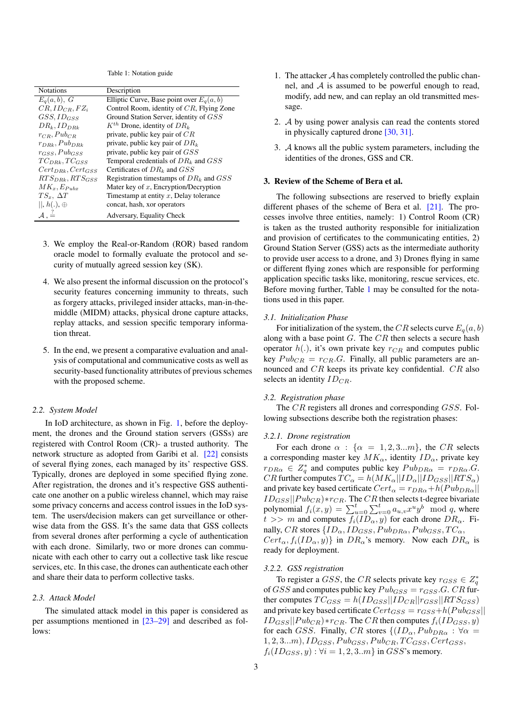Table 1: Notation guide

<span id="page-3-0"></span>

| <b>Notations</b>               | Description                                  |
|--------------------------------|----------------------------------------------|
| $E_a(a,b), G$                  | Elliptic Curve, Base point over $E_a(a, b)$  |
| $CR, ID_{CR}, FZ_i$            | Control Room, identity of $CR$ , Flying Zone |
| $GSS, ID_{GSS}$                | Ground Station Server, identity of GSS       |
| $DR_k, ID_{DRk}$               | $K^{th}$ Drone, identity of $DR_k$           |
| $r_{CR}$ , $Pub_{CR}$          | private, public key pair of $CR$             |
| $r_{DRk}, Pub_{DRk}$           | private, public key pair of $DR_k$           |
| $r_{GSS}$ , Pub <sub>GSS</sub> | private, public key pair of GSS              |
| $TC_{DBk}$ , $TC_{GSS}$        | Temporal credentials of $DR_k$ and $GSS$     |
| $Cert_{DBk}, Cert_{GSS}$       | Certificates of $DR_k$ and $GSS$             |
| $RTS_{DRk}$ , $RTS_{GSS}$      | Registration timestamps of $DR_k$ and $GSS$  |
| $MK_x, E_{Pubx}$               | Mater key of $x$ , Encryption/Decryption     |
| $TS_x, \Delta T$               | Timestamp at entity $x$ , Delay tolerance    |
| $  , h(.) \oplus$              | concat, hash, xor operators                  |
| $A \stackrel{?}{=}$            | Adversary, Equality Check                    |

- 3. We employ the Real-or-Random (ROR) based random oracle model to formally evaluate the protocol and security of mutually agreed session key (SK).
- 4. We also present the informal discussion on the protocol's security features concerning immunity to threats, such as forgery attacks, privileged insider attacks, man-in-themiddle (MIDM) attacks, physical drone capture attacks, replay attacks, and session specific temporary information threat.
- 5. In the end, we present a comparative evaluation and analysis of computational and communicative costs as well as security-based functionality attributes of previous schemes with the proposed scheme.

## *2.2. System Model*

In IoD architecture, as shown in Fig. [1,](#page-2-0) before the deployment, the drones and the Ground station servers (GSSs) are registered with Control Room (CR)- a trusted authority. The network structure as adopted from Garibi et al. [\[22\]](#page-11-8) consists of several flying zones, each managed by its' respective GSS. Typically, drones are deployed in some specified flying zone. After registration, the drones and it's respective GSS authenticate one another on a public wireless channel, which may raise some privacy concerns and access control issues in the IoD system. The users/decision makers can get surveillance or otherwise data from the GSS. It's the same data that GSS collects from several drones after performing a cycle of authentication with each drone. Similarly, two or more drones can communicate with each other to carry out a collective task like rescue services, etc. In this case, the drones can authenticate each other and share their data to perform collective tasks.

## *2.3. Attack Model*

The simulated attack model in this paper is considered as per assumptions mentioned in [\[23–](#page-11-9)[29\]](#page-11-10) and described as follows:

- 1. The attacker  $A$  has completely controlled the public channel, and  $A$  is assumed to be powerful enough to read, modify, add new, and can replay an old transmitted message.
- 2. A by using power analysis can read the contents stored in physically captured drone [\[30,](#page-11-11) [31\]](#page-11-12).
- 3. A knows all the public system parameters, including the identities of the drones, GSS and CR.

## 3. Review of the Scheme of Bera et al.

The following subsections are reserved to briefly explain different phases of the scheme of Bera et al. [\[21\]](#page-11-7). The processes involve three entities, namely: 1) Control Room (CR) is taken as the trusted authority responsible for initialization and provision of certificates to the communicating entities, 2) Ground Station Server (GSS) acts as the intermediate authority to provide user access to a drone, and 3) Drones flying in same or different flying zones which are responsible for performing application specific tasks like, monitoring, rescue services, etc. Before moving further, Table [1](#page-3-0) may be consulted for the notations used in this paper.

## *3.1. Initialization Phase*

For initialization of the system, the CR selects curve  $E_q(a, b)$ along with a base point  $G$ . The  $CR$  then selects a secure hash operator  $h(.)$ , it's own private key  $r_{CR}$  and computes public key  $Pub_{CR} = r_{CR}.G$ . Finally, all public parameters are announced and CR keeps its private key confidential. CR also selects an identity  $ID_{CR}$ .

### *3.2. Registration phase*

The CR registers all drones and corresponding GSS. Following subsections describe both the registration phases:

## *3.2.1. Drone registration*

For each drone  $\alpha$  :  $\{\alpha = 1, 2, 3...m\}$ , the CR selects a corresponding master key  $MK_{\alpha}$ , identity  $ID_{\alpha}$ , private key  $r_{DR\alpha} \in Z_q^*$  and computes public key  $Pub_{DR\alpha} = r_{DR\alpha}.G$ . CR further computes  $TC_{\alpha} = h(MK_{\alpha}||ID_{\alpha}||ID_{GSS}||RTS_{\alpha})$ and private key based certificate  $Cert_{\alpha} = r_{DR\alpha} + h(Pub_{DR\alpha})$  $ID_{GSS}||Pub_{CR}) * r_{CR}$ . The CR then selects t-degree bivariate polynomial  $f_i(x, y) = \sum_{u=0}^{t} \sum_{v=0}^{t} a_{u,v} x^u y^b \mod q$ , where  $t >> m$  and computes  $f_i(ID_\alpha, y)$  for each drone  $DR_\alpha$ . Finally, CR stores  $\{ID_{\alpha}, ID_{GSS}, Pub_{DR\alpha}, Pub_{GSS}, TC_{\alpha},$  $Cert_{\alpha}, f_i(ID_{\alpha}, y)$  in  $DR_{\alpha}$ 's memory. Now each  $DR_{\alpha}$  is ready for deployment.

## *3.2.2. GSS registration*

To register a GSS, the CR selects private key  $r_{GSS} \in Z_q^*$ of GSS and computes public key  $Pub_{GSS} = r_{GSS}.G$ . CR further computes  $TC_{GSS} = h(ID_{GSS} || ID_{CR} || r_{GSS} || RTS_{GSS})$ and private key based certificate  $Cert_{GSS} = r_{GSS} + h(Pub_{GSS} ||$  $ID_{GSS}||Pub_{CR})$ \* $r_{CR}$ . The CR then computes  $f_i(ID_{GSS}, y)$ for each GSS. Finally, CR stores  $\{(ID_{\alpha},Pub_{DR\alpha} : \forall \alpha =$  $1, 2, 3...m$ ,  $ID_{GSS}, Pub_{GSS}, Pub_{CR}, TC_{GSS}, Cert_{GSS},$  $f_i(ID_{GSS}, y)$ :  $\forall i = 1, 2, 3..m$ } in  $GSS$ 's memory.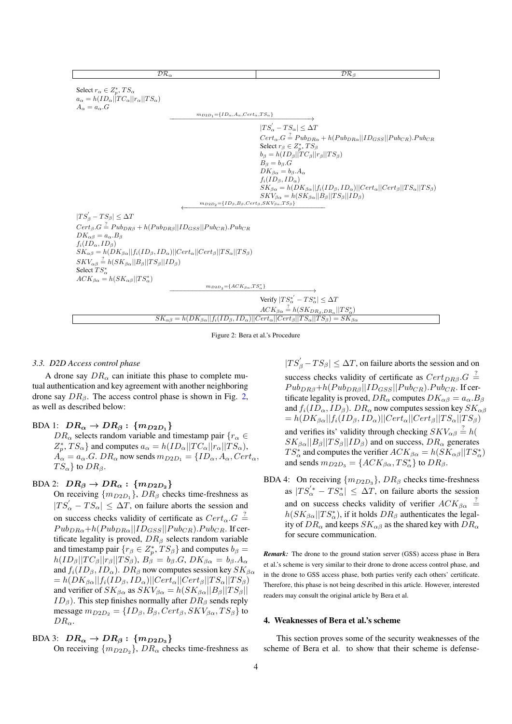<span id="page-4-0"></span>

| $\overline{\mathcal{DR}}_{\alpha}$                                                                                                                        | $\overline{\mathcal{DR}_B}$                                                                                                                     |
|-----------------------------------------------------------------------------------------------------------------------------------------------------------|-------------------------------------------------------------------------------------------------------------------------------------------------|
| Select $r_{\alpha} \in Z_p^*$ , $TS_{\alpha}$<br>$a_{\alpha} = h(ID_{\alpha}    TC_{\alpha}    r_{\alpha}    TS_{\alpha})$<br>$A_{\alpha} = a_{\alpha}.G$ |                                                                                                                                                 |
|                                                                                                                                                           | $m_{D2D_1} = \{ID_{\alpha}, A_{\alpha}, Cert_{\alpha}, TS_{\alpha}\}\$                                                                          |
|                                                                                                                                                           |                                                                                                                                                 |
|                                                                                                                                                           | $ TS'_{\alpha} - TS_{\alpha}  \leq \Delta T$                                                                                                    |
|                                                                                                                                                           | $Cert_{\alpha}. G \stackrel{?}{=} Pub_{DR\alpha} + h(Pub_{DR\alpha}    ID_{GSS}    Pub_{CR}).Pub_{CR}$                                          |
|                                                                                                                                                           | Select $r_{\beta} \in Z_p^*$ , $TS_{\beta}$                                                                                                     |
|                                                                                                                                                           | $b_{\beta} = h(ID_{\beta}    TC_{\beta}    rs_{\beta})$<br>$B_{\beta} = b_{\beta}.G$                                                            |
|                                                                                                                                                           | $DK_{\beta\alpha} = b_{\beta}.A_{\alpha}$                                                                                                       |
|                                                                                                                                                           | $f_i(ID_\beta, ID_\alpha)$                                                                                                                      |
|                                                                                                                                                           | $SK_{\beta\alpha} = h(DK_{\beta\alpha}  f_i(ID_{\beta}, ID_{\alpha})  Cert_{\alpha}  Cert_{\beta}  TS_{\alpha}  TS_{\beta})$                    |
|                                                                                                                                                           | $SKV_{\beta\alpha} = h(SK_{\beta\alpha}  B_{\beta}  TS_{\beta}  ID_{\beta})$                                                                    |
|                                                                                                                                                           | $m_{D2D_2} = \{ID_\beta, B_\beta, Cert_\beta, SKV_{\beta\alpha}, TS_\beta\}$                                                                    |
| $ TS'_{\beta} - TS_{\beta}  \leq \Delta T$                                                                                                                |                                                                                                                                                 |
| $Cert_{\beta}.G \stackrel{?}{=} Pub_{DR\beta} + h(Pub_{DR\beta}    ID_{GSS}    Pub_{CR}).Pub_{CR}$                                                        |                                                                                                                                                 |
| $DK_{\alpha\beta} = a_{\alpha}.B_{\beta}$                                                                                                                 |                                                                                                                                                 |
| $f_i(ID_\alpha, ID_\beta)$                                                                                                                                |                                                                                                                                                 |
| $SK_{\alpha\beta} = h(DK_{\beta\alpha}  f_i(ID_{\beta}, ID_{\alpha})  Cert_{\alpha}  Cert_{\beta}  TS_{\alpha}  TS_{\beta})$                              |                                                                                                                                                 |
| $SKV_{\alpha\beta} \stackrel{?}{=} h(SK_{\beta\alpha}  B_{\beta}  TS_{\beta}  ID_{\beta})$                                                                |                                                                                                                                                 |
| Select $TS^*_{\alpha}$                                                                                                                                    |                                                                                                                                                 |
| $ACK_{\beta\alpha} = h(SK_{\alpha\beta}  TS_{\alpha}^*)$                                                                                                  |                                                                                                                                                 |
|                                                                                                                                                           | $m_{D2D_3} = \{ACK_{\beta\alpha}, TS_{\alpha}^*\}$                                                                                              |
|                                                                                                                                                           | Verify $ TS^*_{\alpha} - TS^*_{\alpha}  \leq \Delta T$                                                                                          |
|                                                                                                                                                           | $ACK_{\beta\alpha} \stackrel{?}{=} h(SK_{DR_{\beta},DR_{\alpha}}  TS_{\alpha}^*)$                                                               |
|                                                                                                                                                           | $SK_{\alpha\beta} = h(DK_{\beta\alpha}  f_i(ID_{\beta}, ID_{\alpha})  Cert_{\alpha}  Cert_{\beta}  TS_{\alpha}  TS_{\beta}) = SK_{\beta\alpha}$ |

Figure 2: Bera et al.'s Procedure

## *3.3. D2D Access control phase*

A drone say  $DR_{\alpha}$  can initiate this phase to complete mutual authentication and key agreement with another neighboring drone say  $DR_\beta$ . The access control phase is shown in Fig. [2,](#page-4-0) as well as described below:

## BDA 1:  $DR_{\alpha} \rightarrow DR_{\beta}$ :  $\{m_{D2D_1}\}$

 $DR_{\alpha}$  selects random variable and timestamp pair  $\{r_{\alpha} \in$  $Z_p^*$ ,  $TS_\alpha$ } and computes  $a_\alpha = h(ID_\alpha || TC_\alpha || r_\alpha || TS_\alpha)$ ,  $A_{\alpha} = a_{\alpha} G$ .  $DR_{\alpha}$  now sends  $m_{D2D_1} = \{ID_{\alpha}, A_{\alpha}, Cert_{\alpha},$  $TS_{\alpha}$ } to  $DR_{\beta}$ .

## BDA 2:  $DR_{\beta} \rightarrow DR_{\alpha}$ : { $m_{D2D_2}$ }

On receiving  $\{m_{D2D_1}\}, DR_\beta$  checks time-freshness as  $|TS'_\alpha - TS_\alpha| \leq \Delta T$ , on failure aborts the session and on success checks validity of certificate as  $Cert_{\alpha}.G \stackrel{?}{=}$  $Pub<sub>D Rα</sub>+h(Pub<sub>D Rα</sub> || ID<sub>GSS</sub> || Pub<sub>CR</sub>).Pub<sub>CR</sub>.$  If certificate legality is proved,  $DR<sub>β</sub>$  selects random variable and timestamp pair  $\{r_\beta \in Z_p^*, TS_\beta\}$  and computes  $b_\beta =$  $h(ID_{\beta}||TC_{\beta}||TS_{\beta}), B_{\beta} = b_{\beta}.G, DK_{\beta\alpha} = b_{\beta}.A_{\alpha}$ and  $f_i(ID_\beta, ID_\alpha)$ .  $DR_\beta$  now computes session key  $SK_{\beta\alpha}$  $= h(DK_{\beta\alpha}||f_i(ID_{\beta}, ID_{\alpha})||Cert_{\alpha}||Cert_{\beta}||TS_{\alpha}||TS_{\beta})$ and verifier of  $SK_{\beta\alpha}$  as  $SKV_{\beta\alpha} = h(SK_{\beta\alpha}||B_{\beta}||TS_{\beta}||$  $ID_\beta$ ). This step finishes normally after  $DR_\beta$  sends reply message  $m_{D2D_2} = \{ID_\beta, B_\beta, Cert_\beta, SKV_{\beta\alpha}, TS_\beta\}$  to  $DR_{\alpha}$ .

## BDA 3:  $DR_{\alpha} \rightarrow DR_{\beta}$ : { $m_{D2D_3}$ }

On receiving  $\{m_{D2D_2}\}, DR_\alpha$  checks time-freshness as

 $|TS'_{\beta} - TS_{\beta}| \leq \Delta T$ , on failure aborts the session and on success checks validity of certificate as  $Cert_{DR\beta}.G =$  $Pub_{DR\beta}+h(Pub_{DR\beta}||ID_{GSS}||Pub_{CR}).Pub_{CR}.$  If certificate legality is proved,  $DR_{\alpha}$  computes  $DK_{\alpha\beta} = a_{\alpha}.B_{\beta}$ and  $f_i(ID_\alpha, ID_\beta)$ .  $DR_\alpha$  now computes session key  $SK_{\alpha\beta}$  $= h(DK_{\beta\alpha}||f_i(ID_{\beta}, ID_{\alpha})||Cert_{\alpha}||Cert_{\beta}||TS_{\alpha}||TS_{\beta})$ and verifies its' validity through checking  $SKV_{\alpha\beta} \stackrel{?}{=} h($  $SK_{\beta\alpha}||B_{\beta}||TS_{\beta}||ID_{\beta}$  and on success,  $DR_{\alpha}$  generates  $TS_{\alpha}^*$  and computes the verifier  $ACK_{\beta\alpha} = h(SK_{\alpha\beta}||TS_{\alpha}^*)$ and sends  $m_{D2D_3} = \{ACK_{\beta\alpha}, TS_{\alpha}^*\}\$  to  $DR_{\beta}$ .

BDA 4: On receiving  $\{m_{D2D_3}\}, DR_\beta$  checks time-freshness as  $|TS'_{\alpha} - TS_{\alpha}^{*}| \leq \Delta T$ , on failure aborts the session and on success checks validity of verifier  $ACK_{\beta\alpha} \stackrel{?}{=}$  $h(SK_{\beta\alpha}||TS_{\alpha}^*)$ , if it holds  $DR_{\beta}$  authenticates the legality of  $DR_{\alpha}$  and keeps  $SK_{\alpha\beta}$  as the shared key with  $DR_{\alpha}$ for secure communication.

*Remark:* The drone to the ground station server (GSS) access phase in Bera et al.'s scheme is very similar to their drone to drone access control phase, and in the drone to GSS access phase, both parties verify each others' certificate. Therefore, this phase is not being described in this article. However, interested readers may consult the original article by Bera et al.

## 4. Weaknesses of Bera et al.'s scheme

This section proves some of the security weaknesses of the scheme of Bera et al. to show that their scheme is defense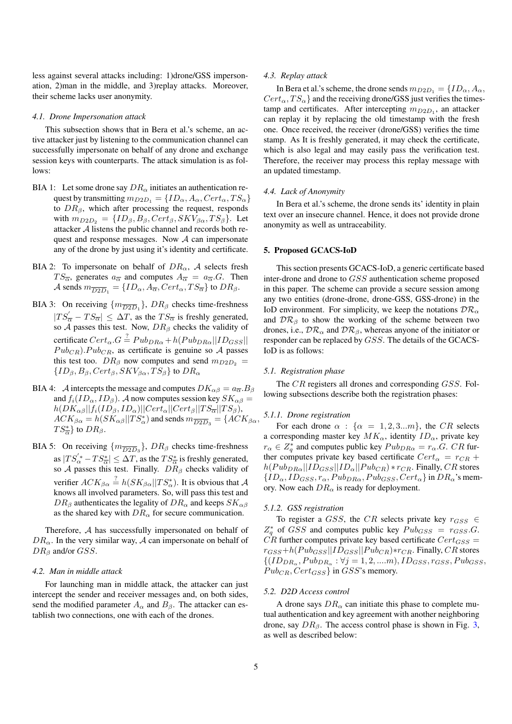less against several attacks including: 1)drone/GSS impersonation, 2)man in the middle, and 3)replay attacks. Moreover, their scheme lacks user anonymity.

#### *4.1. Drone Impersonation attack*

This subsection shows that in Bera et al.'s scheme, an active attacker just by listening to the communication channel can successfully impersonate on behalf of any drone and exchange session keys with counterparts. The attack simulation is as follows:

- BIA 1: Let some drone say  $DR_{\alpha}$  initiates an authentication request by transmitting  $m_{D2D_1} = \{ID_\alpha, A_\alpha, Cert_\alpha, TS_\alpha\}$ to  $DR_{\beta}$ , which after processing the request, responds with  $m_{D2D_2} = \{ID_\beta, B_\beta, Cert_\beta, SKV_{\beta\alpha}, TS_\beta\}.$  Let attacker A listens the public channel and records both request and response messages. Now  $A$  can impersonate any of the drone by just using it's identity and certificate.
- BIA 2: To impersonate on behalf of  $DR_{\alpha}$ , A selects fresh  $TS_{\overline{\alpha}}$ , generates  $a_{\overline{\alpha}}$  and computes  $A_{\overline{\alpha}} = a_{\overline{\alpha}}.G$ . Then A sends  $m_{\overline{D2D}_1} = \{ {ID_\alpha, A_{\overline{\alpha}}, Cert_\alpha, TS_{\overline{\alpha}}}\}$  to  $DR_\beta$ .
- BIA 3: On receiving  $\{m_{\overline{D2D}_1}\}\$ ,  $DR_\beta$  checks time-freshness  $|TS'_{\overline{\alpha}} - TS_{\overline{\alpha}}| \leq \Delta T$ , as the  $TS_{\overline{\alpha}}$  is freshly generated, so  $\overrightarrow{A}$  passes this test. Now,  $DR_\beta$  checks the validity of certificate  $Cert_{\alpha}.G = Pub_{DR\alpha} + h(Pub_{DR\alpha} || ID_{GSS} ||$  $Pub_{CR}$ ).  $Pub_{CR}$ , as certificate is genuine so A passes this test too.  $DR_\beta$  now computes and send  $m_{D2D_2}$  =  $\{ID_\beta, B_\beta, Cert_\beta, SKV_{\beta\alpha}, TS_\beta\}$  to  $DR_\alpha$
- BIA 4: A intercepts the message and computes  $DK_{\alpha\beta} = a_{\overline{\alpha}}.B_{\beta}$ and  $f_i(ID_\alpha, ID_\beta)$ . A now computes session key  $SK_{\alpha\beta} =$  $h(DK_{\alpha\beta}||f_i(ID_{\beta}, ID_{\alpha})||Cert_{\alpha}||Cert_{\beta}||TS_{\overline{\alpha}}||TS_{\beta}),$  $ACK_{\beta\alpha} = h(SK_{\alpha\beta}||TS_{\alpha}^*)$  and sends  $m_{\overline{D2D}_3} = \{ACK_{\beta\alpha},$  $TS_{\overline{\alpha}}^{*}$  to  $DR_{\beta}$ .
- BIA 5: On receiving  $\{m_{\overline{D2D}_3}\}, \, DR_\beta$  checks time-freshness as  $|TS^{'*}_{\alpha} - TS^*_{\overline{\alpha}}| \leq \Delta T$ , as the  $TS^*_{\overline{\alpha}}$  is freshly generated, so A passes this test. Finally.  $DR_\beta$  checks validity of verifier  $ACK_{\beta\alpha} \stackrel{?}{=} h(SK_{\beta\alpha}||TS_{\alpha}^*)$ . It is obvious that A knows all involved parameters. So, will pass this test and  $DR_\beta$  authenticates the legality of  $DR_\alpha$  and keeps  $SK_{\alpha\beta}$ as the shared key with  $DR<sub>α</sub>$  for secure communication.

Therefore, A has successfully impersonated on behalf of  $DR_{\alpha}$ . In the very similar way, A can impersonate on behalf of  $DR_{\beta}$  and/or  $GSS$ .

## *4.2. Man in middle attack*

For launching man in middle attack, the attacker can just intercept the sender and receiver messages and, on both sides, send the modified parameter  $A_{\alpha}$  and  $B_{\beta}$ . The attacker can establish two connections, one with each of the drones.

## *4.3. Replay attack*

In Bera et al.'s scheme, the drone sends  $m_{D2D_1} = \{ID_\alpha, A_\alpha,$  $Cert_{\alpha}, TS_{\alpha}$  and the receiving drone/GSS just verifies the timestamp and certificates. After intercepting  $m_{D2D_1}$ , an attacker can replay it by replacing the old timestamp with the fresh one. Once received, the receiver (drone/GSS) verifies the time stamp. As It is freshly generated, it may check the certificate, which is also legal and may easily pass the verification test. Therefore, the receiver may process this replay message with an updated timestamp.

## *4.4. Lack of Anonymity*

In Bera et al.'s scheme, the drone sends its' identity in plain text over an insecure channel. Hence, it does not provide drone anonymity as well as untraceability.

## 5. Proposed GCACS-IoD

This section presents GCACS-IoD, a generic certificate based inter-drone and drone to GSS authentication scheme proposed in this paper. The scheme can provide a secure session among any two entities (drone-drone, drone-GSS, GSS-drone) in the IoD environment. For simplicity, we keep the notations  $\mathcal{DR}_{\alpha}$ and  $\mathcal{DR}_\beta$  to show the working of the scheme between two drones, i.e.,  $\mathcal{DR}_{\alpha}$  and  $\mathcal{DR}_{\beta}$ , whereas anyone of the initiator or responder can be replaced by GSS. The details of the GCACS-IoD is as follows:

## *5.1. Registration phase*

The CR registers all drones and corresponding GSS. Following subsections describe both the registration phases:

#### *5.1.1. Drone registration*

For each drone  $\alpha$  :  $\{\alpha = 1, 2, 3...m\}$ , the CR selects a corresponding master key  $MK_{\alpha}$ , identity  $ID_{\alpha}$ , private key  $r_{\alpha} \in Z_q^*$  and computes public key  $Pub_{DR\alpha} = r_{\alpha}.G$ . CR further computes private key based certificate  $Cert_{\alpha} = r_{CR} +$  $h(Pub_{DR\alpha}||ID_{GSS}||ID_{\alpha}||Pub_{CR}) * r_{CR}$ . Finally, CR stores  $\{ID_{\alpha}, ID_{GSS}, r_{\alpha}, Pub_{DR\alpha}, Pub_{GSS}, Cert_{\alpha}\}$  in  $DR_{\alpha}$ 's memory. Now each  $DR_{\alpha}$  is ready for deployment.

#### *5.1.2. GSS registration*

To register a GSS, the CR selects private key  $r_{GSS} \in$  $Z_q^*$  of GSS and computes public key  $Pub_{GSS} = r_{GSS}.G$ .  $CR$  further computes private key based certificate  $Cert_{GSS}$  =  $r_{GSS}+h(Pub_{GSS}||ID_{GSS}||Pub_{CR})$ \* $r_{CR}$ . Finally, CR stores  $\{(ID_{DR_{\alpha}}, Pub_{DR_{\alpha}} : \forall j = 1, 2, \dots m), ID_{GSS}, r_{GSS}, Pub_{GSS},\}$  $Pub_{CR}, Cert_{GSS}$  in  $GSS$ 's memory.

#### *5.2. D2D Access control*

A drone says  $DR_{\alpha}$  can initiate this phase to complete mutual authentication and key agreement with another neighboring drone, say  $DR_{\beta}$ . The access control phase is shown in Fig. [3,](#page-6-0) as well as described below: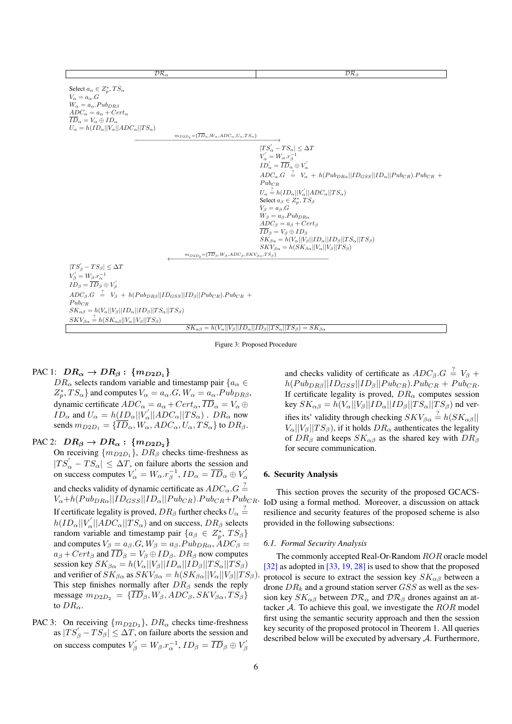<span id="page-6-0"></span>

| $\mathcal{DR}_{\alpha}$                                                                                                                                                                                                                                                                                                                                                                              | DR <sub>β</sub>                                                                                                                                                                                                                                                                                                                                                                                                                                                                                                                                                                        |
|------------------------------------------------------------------------------------------------------------------------------------------------------------------------------------------------------------------------------------------------------------------------------------------------------------------------------------------------------------------------------------------------------|----------------------------------------------------------------------------------------------------------------------------------------------------------------------------------------------------------------------------------------------------------------------------------------------------------------------------------------------------------------------------------------------------------------------------------------------------------------------------------------------------------------------------------------------------------------------------------------|
| Select $a_{\alpha} \in Z_p^*$ , $TS_{\alpha}$<br>$V_{\alpha} = a_{\alpha}.G$<br>$W_{\alpha} = a_{\alpha} P u b_{DR\beta}$<br>$ADC_{\alpha} = a_{\alpha} + Cert_{\alpha}$<br>$ID_{\alpha} = V_{\alpha} \oplus ID_{\alpha}$<br>$U_{\alpha} = h(ID_{\alpha}    V_{\alpha}    ADC_{\alpha}    TS_{\alpha})$<br>$m_{D2D_1} = {\overline{ID}_{\alpha}, W_{\alpha}, ADC_{\alpha}, U_{\alpha}, TS_{\alpha}}$ | $ TS'_\alpha - TS_\alpha  \leq \Delta T$<br>$V'_{\alpha} = W_{\alpha}.r_{\beta}^{-1}$<br>$ID'_{\alpha} = \overline{ID}_{\alpha} \oplus V'_{\alpha}$<br>$ADC_{\alpha}.G = V_{\alpha} + h(Pub_{DR\alpha}  ID_{GSS}  ID_{\alpha}  Pub_{CR}).Pub_{CR} +$<br>$Pub_{CR}$<br>$U_{\alpha} \stackrel{?}{=} h(ID_{\alpha}    V_{\alpha}'    ADC_{\alpha}    TS_{\alpha})$<br>Select $a_{\beta} \in Z_p^*$ , $TS_{\beta}$<br>$V_{\beta} = a_{\beta}.G$<br>$W_{\beta} = a_{\beta} P u b_{DR\alpha}$<br>$ADC_{\beta} = a_{\beta} + Cert_{\beta}$<br>$\overline{ID}_\beta = V_\beta \oplus ID_\beta$ |
|                                                                                                                                                                                                                                                                                                                                                                                                      | $SK_{\beta\alpha} = h(V_{\alpha}  V_{\beta}  ID_{\alpha}  ID_{\beta}  TS_{\alpha}  TS_{\beta})$<br>$SKV_{\beta\alpha} = h(SK_{\beta\alpha}  V_{\alpha}  V_{\beta}  TS_{\beta})$                                                                                                                                                                                                                                                                                                                                                                                                        |
| $m_{D2D_2} = {\overline{ID}_{\beta}, W_{\beta}, ADC_{\beta}, SKV_{\beta\alpha}, TS_{\beta}}$                                                                                                                                                                                                                                                                                                         |                                                                                                                                                                                                                                                                                                                                                                                                                                                                                                                                                                                        |
| $ TS'_{\beta} - TS_{\beta}  \leq \Delta T$<br>$V'_{\beta} = W_{\beta}.r_{\alpha}^{-1}$<br>$ID_{\beta} = \overline{ID}_{\beta} \oplus V_{\beta}'$<br>$ADC_{\beta}.G = V_{\beta} + h(Pub_{DR\beta}  ID_{GSS}  ID_{\beta}  Pub_{CR}).Pub_{CR} +$                                                                                                                                                        |                                                                                                                                                                                                                                                                                                                                                                                                                                                                                                                                                                                        |
| $Pub_{CR}$<br>$SK_{\alpha\beta} = h(V_{\alpha}  V_{\beta}  ID_{\alpha}  ID_{\beta}  TS_{\alpha}  TS_{\beta})$                                                                                                                                                                                                                                                                                        |                                                                                                                                                                                                                                                                                                                                                                                                                                                                                                                                                                                        |
| $SKV_{\beta\alpha} \stackrel{?}{=} h(SK_{\alpha\beta}  V_{\alpha}  V_{\beta}  TS_{\beta})$                                                                                                                                                                                                                                                                                                           |                                                                                                                                                                                                                                                                                                                                                                                                                                                                                                                                                                                        |
|                                                                                                                                                                                                                                                                                                                                                                                                      | $SK_{\alpha\beta} = h(V_{\alpha}  V_{\beta}  ID_{\alpha}  ID_{\beta}  TS_{\alpha}  TS_{\beta}) = SK_{\beta\alpha}$                                                                                                                                                                                                                                                                                                                                                                                                                                                                     |

Figure 3: Proposed Procedure

# PAC 1:  $DR_{\alpha} \rightarrow DR_{\beta}$ :  $\{m_{D2D_1}\}$

 $DR_{\alpha}$  selects random variable and timestamp pair  $\{a_{\alpha} \in$  $Z_p^*$ ,  $TS_\alpha$ } and computes  $V_\alpha = a_\alpha$ .  $G$ ,  $W_\alpha = a_\alpha$ .  $Pub_{DR\beta}$ , dynamic certificate  $ADC_{\alpha} = a_{\alpha} + Cert_{\alpha}, ID_{\alpha} = V_{\alpha} \oplus$  $ID_{\alpha}$  and  $U_{\alpha} = h \underline{(ID_{\alpha} || V_{\alpha}' || ADC_{\alpha} || TS_{\alpha})}$ .  $DR_{\alpha}$  now sends  $m_{D2D_1} = {\overline{ID}_{\alpha}, W_{\alpha}, ADC_{\alpha}, U_{\alpha}, TS_{\alpha}}$  to  $DR_{\beta}$ .

## PAC 2:  $DR_{\beta} \rightarrow DR_{\alpha} : \{m_{D2D_2}\}\$

On receiving  $\{m_{D2D_1}\}\$ ,  $DR_\beta$  checks time-freshness as  $|TS'_{\alpha} - TS_{\alpha}| \leq \Delta T$ , on failure aborts the session and on success computes  $V'_\n\alpha = W_\alpha \cdot r_\beta^{-1}$ ,  $ID_\alpha = \overline{ID}_\alpha \oplus V'_\alpha$ and checks validity of dynamic certificate as  $ADC_{\alpha}.G \stackrel{?}{=}$  $V_{\alpha}+h(Pub_{DR\alpha}||ID_{GSS}||ID_{\alpha}||Pub_{CR}).Pub_{CR}+Pub_{CR}.$ If certificate legality is proved,  $DR_\beta$  further checks  $U_\alpha\stackrel{?}{=}$  $h(ID_{\alpha}||V_{\alpha}^{'}||ADC_{\alpha}||TS_{\alpha})$  and on success,  $DR_{\beta}$  selects random variable and timestamp pair  $\{a_{\beta} \in Z_p^*$ ,  $TS_{\beta}\}\$ and computes  $V_\beta = a_\beta G$ ,  $W_\beta = a_\beta P u b_{DR\alpha}$ ,  $\hat{A} D C_\beta =$  $a_{\beta}$  +  $Cert_{\beta}$  and  $\overline{ID}_{\beta} = V_{\beta} \oplus ID_{\beta}$ .  $DR_{\beta}$  now computes session key  $SK_{\beta\alpha} = h(V_{\alpha}||V_{\beta}||ID_{\alpha}||ID_{\beta}||TS_{\alpha}||TS_{\beta})$ and verifier of  $SK_{\beta\alpha}$  as  $SKV_{\beta\alpha} = h(SK_{\beta\alpha}||V_{\alpha}||V_{\beta}||TS_{\beta}).$ This step finishes normally after  $DR<sub>β</sub>$  sends the reply message  $m_{D2D_2} = {\overline{ID}_{\beta}, W_{\beta}, ADC_{\beta}, SKV_{\beta\alpha}, TS_{\beta}}$ to  $DR_{\alpha}$ .

PAC 3: On receiving  $\{m_{D2D_2}\}\$ ,  $DR_{\alpha}$  checks time-freshness as  $|TS'_{\beta} - TS_{\beta}| \leq \Delta T$ , on failure aborts the session and on success computes  $V^{'}_{\beta} = W_{\beta}.r_{\alpha}^{-1}, ID_{\beta} = \overline{ID}_{\beta} \oplus V^{'}_{\beta}$ 

and checks validity of certificate as  $ADC_B.G \stackrel{?}{=} V_B +$  $h(Pub_{DR\beta}||ID_{GSS}||ID_{\beta}||Pub_{CR}).Pub_{CR} + Pub_{CR}.$ If certificate legality is proved,  $DR_{\alpha}$  computes session key  $SK_{\alpha\beta} = h(V_{\alpha}||V_{\beta}||ID_{\alpha}||ID_{\beta}||TS_{\alpha}||TS_{\beta})$  nd verifies its' validity through checking  $SKV_{\beta\alpha} \stackrel{?}{=} h(SK_{\alpha\beta})$  $V_{\alpha}||V_{\beta}||TS_{\beta}$ , if it holds  $DR_{\alpha}$  authenticates the legality of  $DR_\beta$  and keeps  $SK_{\alpha\beta}$  as the shared key with  $DR_\beta$ for secure communication.

## 6. Security Analysis

This section proves the security of the proposed GCACS-IoD using a formal method. Moreover, a discussion on attack resilience and security features of the proposed scheme is also provided in the following subsections:

## *6.1. Formal Security Analysis*

The commonly accepted Real-Or-Random ROR oracle model [\[32\]](#page-11-13) as adopted in [\[33,](#page-11-14) [19,](#page-11-5) [28\]](#page-11-15) is used to show that the proposed protocol is secure to extract the session key  $SK_{\alpha\beta}$  between a drone  $DR_k$  and a ground station server  $GSS$  as well as the session key  $SK_{\alpha\beta}$  between  $\mathcal{DR}_{\alpha}$  and  $\mathcal{DR}_{\beta}$  drones against an attacker  $A$ . To achieve this goal, we investigate the  $ROR$  model first using the semantic security approach and then the session key security of the proposed protocol in Theorem 1. All queries described below will be executed by adversary A. Furthermore,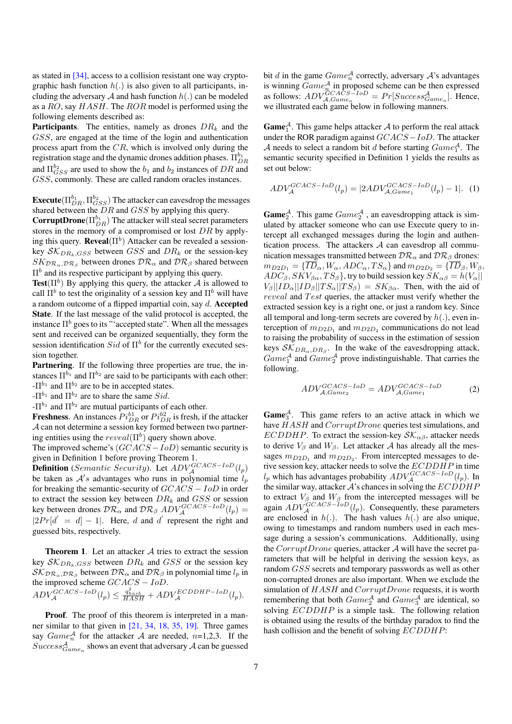as stated in [\[34\]](#page-11-16), access to a collision resistant one way cryptographic hash function  $h(.)$  is also given to all participants, including the adversary A and hash function  $h(.)$  can be modeled as a RO, say HASH. The ROR model is performed using the following elements described as:

**Participants.** The entities, namely as drones  $DR_k$  and the GSS, are engaged at the time of the login and authentication process apart from the CR, which is involved only during the registration stage and the dynamic drones addition phases.  $\Pi_{DR}^{b_1}$ and  $\Pi_{GSS}^{b_2}$  are used to show the  $b_1$  and  $b_2$  instances of  $DR$  and GSS, commonly. These are called random oracles instances.

**Execute** $(\Pi_{DR}^{b_1}, \Pi_{GSS}^{b_2})$  The attacker can eavesdrop the messages shared between the DR and GSS by applying this query.

**CorruptDrone**( $\Pi_{DR}^{b_1}$ ) The attacker will steal secret parameters stores in the memory of a compromised or lost DR by applying this query. **Reveal**  $(\Pi^b)$  Attacker can be revealed a sessionkey  $\mathcal{SK}_{DR_k,GSS}$  between  $GSS$  and  $DR_k$  or the session-key  $SK_{\mathcal{DR}_\alpha,\mathcal{DR}_\beta}$  between drones  $\mathcal{DR}_\alpha$  and  $\mathcal{DR}_\beta$  shared between  $\Pi^b$  and its respective participant by applying this query.

Test( $\Pi^b$ ) By applying this query, the attacker A is allowed to call  $\Pi^b$  to test the originality of a session key and  $\Pi^b$  will have a random outcome of a flipped impartial coin, say d. Accepted State. If the last message of the valid protocol is accepted, the instance  $\Pi^b$  goes to its "'accepted state". When all the messages sent and received can be organized sequentially, they form the session identification  $Sid$  of  $\Pi^b$  for the currently executed session together.

Partnering. If the following three properties are true, the instances  $\Pi^{b_1}$  and  $\Pi^{b_2}$  are said to be participants with each other:  $-\Pi^{b_1}$  and  $\Pi^{b_2}$  are to be in accepted states.

- $\Pi^{b_1}$  and  $\Pi^{b_2}$  are to share the same Sid.

 $-\Pi^{b_1}$  and  $\Pi^{b_2}$  are mutual participants of each other.

**Freshness**. An instances  $P_{iDR}^{ibl}$  or  $P_{iDR}^{ibl}$  is fresh, if the attacker A can not determine a session key formed between two partnering entities using the  $reveal(\Pi^b)$  query shown above.

The improved scheme's  $(GCACS - IoD)$  semantic security is given in Definition 1 before proving Theorem 1.

**Definition** (Semantic Security). Let  $ADV_{\mathcal{A}}^{GCACS-IoD}(l_p)$ be taken as  $A's$  advantages who runs in polynomial time  $l_p$ for breaking the semantic-security of  $GCACS - I$  in order to extract the session key between  $DR_k$  and  $GSS$  or session key between drones  $\mathcal{DR}_{\alpha}$  and  $\mathcal{DR}_{\beta}$   $ADV_{\mathcal{A}}^{GCACS-IoD}(l_p)$  =  $|2Pr[d' = d] - 1|$ . Here, d and d' represent the right and guessed bits, respectively.

**Theorem 1.** Let an attacker  $A$  tries to extract the session key  $\mathcal{SK}_{DR_k,GSS}$  between  $DR_k$  and  $GSS$  or the session key  $\mathcal{SK}_{\mathcal{DR}_\alpha,\mathcal{DR}_\beta}$  between  $\mathcal{DR}_\alpha$  and  $\mathcal{DR}_\beta$  in polynomial time  $l_p$  in the improved scheme  $GCACS - IoD$ .  $ADV_{\mathcal{A}}^{GCACS-IoD}(l_p) \leq \frac{q_{hash}^2}{HASH} + ADV_{\mathcal{A}}^{ECDDHP-IoD}(l_p).$ 

Proof. The proof of this theorem is interpreted in a manner similar to that given in [\[21,](#page-11-7) [34,](#page-11-16) [18,](#page-11-17) [35,](#page-11-18) [19\]](#page-11-5). Three games say  $Game_n^{\mathcal{A}}$  for the attacker  $\mathcal{A}$  are needed, n=1,2,3. If the  $Success_{Game_n}^{\mathcal{A}}$  shows an event that adversary  $\mathcal{A}$  can be guessed

bit d in the game  $Game_n^{\mathcal{A}}$  correctly, adversary  $\mathcal{A}$ 's advantages is winning  $Game_{n}^{\mathcal{A}}$  in proposed scheme can be then expressed as follows:  $ADV_{A,Game_n}^{GCACS-IoD} = Pr[Succes_{Game_n}^{\mathcal{A}}]$ . Hence, we illustrated each game below in following manners.

**Game**<sup>A</sup>. This game helps attacker A to perform the real attack under the ROR paradigm against GCACS−IoD. The attacker A needs to select a random bit d before starting  $Game_1^A$ . The semantic security specified in Definition 1 yields the results as set out below:

$$
ADV_{\mathcal{A}}^{GCACS - IoD}(l_p) = |2ADV_{\mathcal{A}, Game_1}^{GCACS - IoD}(l_p) - 1|.
$$
 (1)

**Game**<sup>A</sup>. This game  $Game_2^A$ , an eavesdropping attack is simulated by attacker someone who can use Execute query to intercept all exchanged messages during the login and authentication process. The attackers  $A$  can eavesdrop all communication messages transmitted between  $\mathcal{DR}_{\alpha}$  and  $\mathcal{DR}_{\beta}$  drones:  $m_{D2D_1} = {\overline{ID}_{\alpha}, W_{\alpha}, ADC_{\alpha}, TS_{\alpha}}$  and  $m_{D2D_2} = {\overline{ID}_{\beta}, W_{\beta}}$ ,  $ADC_{\beta}$ ,  $SKV_{\beta\alpha}$ ,  $TS_{\beta}$ , try to build session key  $SK_{\alpha\beta} = h(V_{\alpha}||)$  $V_{\beta}||ID_{\alpha}||ID_{\beta}||TS_{\alpha}||TS_{\beta}$  =  $SK_{\beta\alpha}$ . Then, with the aid of  $reveal$  and  $Test$  queries, the attacker must verify whether the extracted session key is a right one, or just a random key. Since all temporal and long-term secrets are covered by  $h(.)$ , even interception of  $m_{D2D_1}$  and  $m_{D2D_2}$  communications do not lead to raising the probability of success in the estimation of session keys  $\mathcal{SK}_{DR_{\alpha},DR_{\beta}}$ . In the wake of the eavesdropping attack,  $Game_1^{\mathcal{A}}$  and  $Game_2^{\mathcal{A}}$  prove indistinguishable. That carries the following.

$$
ADV_{A,Game_2}^{GCACS-IoD} = ADV_{A,Game_1}^{GCACS-IoD}
$$
 (2)

**Game**<sup> $A$ </sup>. This game refers to an active attack in which we have  $HASH$  and  $CorruptDrone$  queries test simulations, and ECDDHP. To extract the session-key  $\mathcal{SK}_{\alpha\beta}$ , attacker needs to derive  $V_\beta$  and  $W_\beta$ . Let attacker A has already all the messages  $m_{D2D_1}$  and  $m_{D2D_2}$ . From intercepted messages to derive session key, attacker needs to solve the ECDDHP in time  $l_p$  which has advantages probability  $ADV_A^{GCACS-IoD}(l_p)$ . In the similar way, attacker  $A$ 's chances in solving the  $ECDDHP$ to extract  $V_{\beta}$  and  $W_{\beta}$  from the intercepted messages will be again  $ADV_A^{GCACS-IoD}(l_p)$ . Consequently, these parameters are enclosed in  $h(.)$ . The hash values  $h(.)$  are also unique, owing to timestamps and random numbers used in each message during a session's communications. Additionally, using the  $CorruptDrone$  queries, attacker  $A$  will have the secret parameters that will be helpful in deriving the session keys, as random GSS secrets and temporary passwords as well as other non-corrupted drones are also important. When we exclude the simulation of HASH and CorruptDrone requests, it is worth remembering that both  $Game_2^{\mathcal{A}}$  and  $Game_3^{\mathcal{A}}$  are identical, so solving ECDDHP is a simple task. The following relation is obtained using the results of the birthday paradox to find the hash collision and the benefit of solving ECDDHP: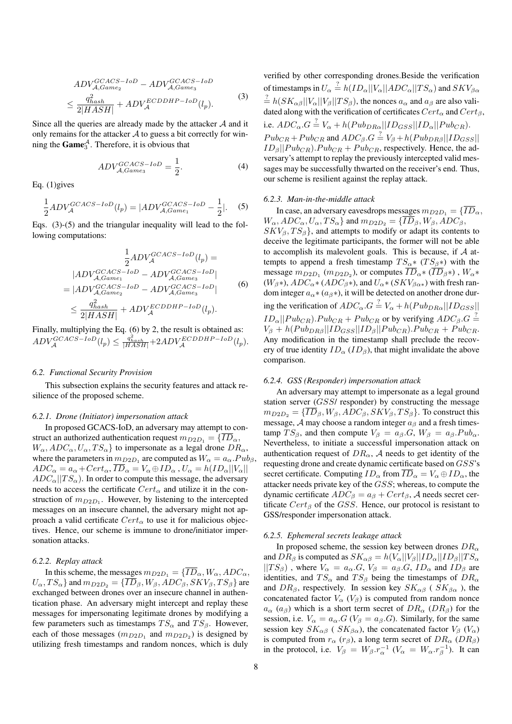$$
ADV_{A,Game_2}^{GCACS-IoD} - ADV_{A,Game_3}^{GCACS-IoD}
$$
  

$$
\leq \frac{q_{hash}^2}{2|HASH|} + ADV_A^{ECDDHP-IoD}(l_p).
$$
 (3)

Since all the queries are already made by the attacker  $A$  and it only remains for the attacker  $A$  to guess a bit correctly for winning the  $\text{Game}_3^{\mathcal{A}}$ . Therefore, it is obvious that

$$
ADV_{A, Game_3}^{GCACS-IoD} = \frac{1}{2}.
$$
\n(4)

Eq. (1)gives

$$
\frac{1}{2}ADV_{\mathcal{A}}^{GCACS-IoD}(l_p) = |ADV_{\mathcal{A}, Game_1}^{GCACS-IoD} - \frac{1}{2}|.
$$
 (5)

Eqs. (3)-(5) and the triangular inequality will lead to the following computations:

$$
\frac{1}{2}ADV_{\mathcal{A}}^{GCACS-IoD}(l_p) =
$$
\n
$$
|ADV_{\mathcal{A},Game_1}^{GCACS-IoD} - ADV_{\mathcal{A},Game_3}^{GCACS-IoD}|
$$
\n
$$
= |ADV_{\mathcal{A},Game_2}^{GCACS-IoD} - ADV_{\mathcal{A},Game_3}^{GCACS-IoD}|
$$
\n
$$
\leq \frac{q_{hash}^2}{2|HASH|} + ADV_{\mathcal{A}}^{ECDDHP-IoD}(l_p).
$$
\n(6)

Finally, multiplying the Eq. (6) by 2, the result is obtained as:  $ADV_{\mathcal{A}}^{GCACS-IoD}(l_p) \leq \frac{q_{hash}^2}{|HASH|} + 2ADV_{\mathcal{A}}^{ECDDHP-IoD}(l_p).$ 

## *6.2. Functional Security Provision*

This subsection explains the security features and attack resilience of the proposed scheme.

#### *6.2.1. Drone (Initiator) impersonation attack*

In proposed GCACS-IoD, an adversary may attempt to construct an authorized authorization request  $m_{D2D_1} = \{ \overline{ID}_{\alpha},$  $W_{\alpha}$ ,  $ADC_{\alpha}$ ,  $U_{\alpha}$ ,  $TS_{\alpha}$ } to impersonate as a legal drone  $DR_{\alpha}$ where the parameters in  $m_{D2D_1}$  are computed as  $W_\alpha = a_\alpha P u b_\beta$ ,  $ADC_{\alpha} = a_{\alpha} + Cert_{\alpha}, \overline{ID}_{\alpha} = V_{\alpha} \oplus ID_{\alpha}, U_{\alpha} = h(ID_{\alpha} || V_{\alpha} ||$  $ADC_{\alpha}$ ||T $S_{\alpha}$ ). In order to compute this message, the adversary needs to access the certificate  $Cert_{\alpha}$  and utilize it in the construction of  $m_{D2D_1}$ . However, by listening to the intercepted messages on an insecure channel, the adversary might not approach a valid certificate  $Cert_{\alpha}$  to use it for malicious objectives. Hence, our scheme is immune to drone/initiator impersonation attacks.

#### *6.2.2. Replay attack*

In this scheme, the messages  $m_{D2D_1} = {\overline{ID}_{\alpha}, W_{\alpha}, ADC_{\alpha}}$  $U_{\alpha}$ ,  $TS_{\alpha}$ } and  $m_{D2D_2} = \{\overline{ID}_{\beta}$ ,  $W_{\beta}$ ,  $ADC_{\beta}$ ,  $SKV_{\beta}$ ,  $TS_{\beta}$ } are exchanged between drones over an insecure channel in authentication phase. An adversary might intercept and replay these messages for impersonating legitimate drones by modifying a few parameters such as timestamps  $TS_{\alpha}$  and  $TS_{\beta}$ . However, each of those messages  $(m_{D2D_1}$  and  $m_{D2D_2})$  is designed by utilizing fresh timestamps and random nonces, which is duly

verified by other corresponding drones.Beside the verification of timestamps in  $U_\alpha \stackrel{?}{=} h(ID_\alpha ||V_\alpha || ADC_\alpha || TS_\alpha)$  and  $SKV_{\beta\alpha}$  $\frac{2}{\pi} h(SK_{\alpha\beta}||V_{\alpha}||V_{\beta}||TS_{\beta}),$  the nonces  $a_{\alpha}$  and  $a_{\beta}$  are also validated along with the verification of certificates  $Cert_{\alpha}$  and  $Cert_{\beta}$ , i.e.  $ADC_{\alpha}.G \stackrel{?}{=} V_{\alpha} + h(Pub_{DR\alpha} || ID_{GSS} || ID_{\alpha} || Pub_{CR}).$  $Pub_{CR} +Pub_{CR}$  and  $ADC_{\beta}.G \stackrel{?}{=} V_{\beta} + h(Pub_{DR\beta} || ID_{GSS} ||$  $ID_\beta || Pub_{CR}$ ). $Pub_{CR} + Pub_{CR}$ , respectively. Hence, the adversary's attempt to replay the previously intercepted valid messages may be successfully thwarted on the receiver's end. Thus, our scheme is resilient against the replay attack.

#### *6.2.3. Man-in-the-middle attack*

In case, an adversary eavesdrops messages  $m_{D2D_1} = \{ \overline{ID}_\alpha, \}$  $W_{\alpha}$ ,  $ADC_{\alpha}$ ,  $U_{\alpha}$ ,  $TS_{\alpha}$ } and  $m_{D2D_2} = \{\overline{ID}_{\beta}, W_{\beta}, ADC_{\beta},$  $SKV_{\beta}, TS_{\beta}$ , and attempts to modify or adapt its contents to deceive the legitimate participants, the former will not be able to accomplish its malevolent goals. This is because, if  $A$  attempts to append a fresh timestamp  $TS_{\alpha}$ \* (T $S_{\beta}$ \*) with the message  $m_{D2D_1}$  ( $m_{D2D_2}$ ), or computes  $ID_{\alpha^*}(ID_{\beta^*})$ ,  $W_{\alpha^*}$  $(W_\beta*)$ ,  $ADC_\alpha*(ADC_\beta*)$ , and  $U_\alpha*(SKV_{\beta\alpha*})$  with fresh random integer  $a_{\alpha} * (a_{\beta} * )$ , it will be detected on another drone during the verification of  $ADC_{\alpha}$ . $G = V_{\alpha} + h(Pub_{DR\alpha}||ID_{GSS}||)$  $ID_{\alpha}||Pub_{CR}).Pub_{CR} + Pub_{CR}$  or by verifying  $ADC_{\beta}.G =$  $V_{\beta} + h(Pub_{DR\beta}||ID_{GSS}||ID_{\beta}||Pub_{CR}).Pub_{CR} + Pub_{CR}.$ Any modification in the timestamp shall preclude the recovery of true identity  $ID_{\alpha} (ID_{\beta})$ , that might invalidate the above comparison.

## *6.2.4. GSS (Responder) impersonation attack*

An adversary may attempt to impersonate as a legal ground station server (GSS/ responder) by constructing the message  $m_{D2D_2} = {\overline{ID}_\beta, W_\beta, ADC_\beta, SKV_\beta, TS_\beta}$ . To construct this message,  $A$  may choose a random integer  $a_{\beta}$  and a fresh timestamp  $TS_\beta$ , and then compute  $V_\beta = a_\beta . G, W_\beta = a_\beta . P u b_\alpha$ . Nevertheless, to initiate a successful impersonation attack on authentication request of  $DR_{\alpha}$ , A needs to get identity of the requesting drone and create dynamic certificate based on GSS's secret certificate. Computing  $ID_{\alpha}$  from  $\overline{ID}_{\alpha} = V_{\alpha} \oplus ID_{\alpha}$ , the attacker needs private key of the GSS; whereas, to compute the dynamic certificate  $ADC_\beta = a_\beta + Cert_\beta$ , A needs secret certificate  $Cert_B$  of the GSS. Hence, our protocol is resistant to GSS/responder impersonation attack.

#### *6.2.5. Ephemeral secrets leakage attack*

In proposed scheme, the session key between drones  $DR_{\alpha}$ and  $DR_\beta$  is computed as  $SK_{\alpha\beta} = h(V_\alpha||V_\beta||ID_\alpha||ID_\beta||TS_\alpha$  $||TS_{\beta}\rangle$ , where  $V_{\alpha} = a_{\alpha}.G, V_{\beta} = a_{\beta}.G, ID_{\alpha}$  and  $ID_{\beta}$  are identities, and  $TS_{\alpha}$  and  $TS_{\beta}$  being the timestamps of  $DR_{\alpha}$ and  $DR_\beta$ , respectively. In session key  $SK_{\alpha\beta}$  (  $SK_{\beta\alpha}$  ), the concatenated factor  $V_{\alpha}$  ( $V_{\beta}$ ) is computed from random nonce  $a_{\alpha}$  ( $a_{\beta}$ ) which is a short term secret of  $DR_{\alpha}$  ( $DR_{\beta}$ ) for the session, i.e.  $V_{\alpha} = a_{\alpha}.G$  ( $V_{\beta} = a_{\beta}.G$ ). Similarly, for the same session key  $SK_{\alpha\beta}$  (  $SK_{\beta\alpha}$ ), the concatenated factor  $V_{\beta}$  ( $V_{\alpha}$ ) is computed from  $r_{\alpha}$  ( $r_{\beta}$ ), a long term secret of  $DR_{\alpha}$  ( $DR_{\beta}$ ) in the protocol, i.e.  $V_\beta = W_\beta r_\alpha^{-1} (V_\alpha = W_\alpha r_\beta^{-1})$ . It can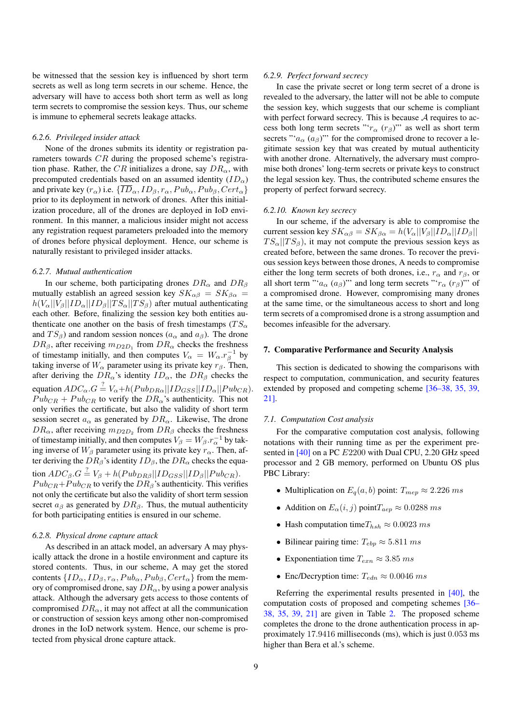be witnessed that the session key is influenced by short term secrets as well as long term secrets in our scheme. Hence, the adversary will have to access both short term as well as long term secrets to compromise the session keys. Thus, our scheme is immune to ephemeral secrets leakage attacks.

## *6.2.6. Privileged insider attack*

None of the drones submits its identity or registration parameters towards CR during the proposed scheme's registration phase. Rather, the CR initializes a drone, say  $DR_{\alpha}$ , with precomputed credentials based on an assumed identity  $(ID_{\alpha})$ and private key  $(r_{\alpha})$  i.e.  $\{\overline{ID}_{\alpha}, ID_{\beta}, r_{\alpha}, Pub_{\alpha}, Pub_{\beta}, Cert_{\alpha}\}\$ prior to its deployment in network of drones. After this initialization procedure, all of the drones are deployed in IoD environment. In this manner, a malicious insider might not access any registration request parameters preloaded into the memory of drones before physical deployment. Hence, our scheme is naturally resistant to privileged insider attacks.

#### *6.2.7. Mutual authentication*

In our scheme, both participating drones  $DR_{\alpha}$  and  $DR_{\beta}$ mutually establish an agreed session key  $SK_{\alpha\beta} = SK_{\beta\alpha}$  $h(V_{\alpha}||V_{\beta}||ID_{\alpha}||ID_{\beta}||TS_{\alpha}||TS_{\beta})$  after mutual authenticating each other. Before, finalizing the session key both entities authenticate one another on the basis of fresh timestamps ( $TS_{\alpha}$ ) and  $TS_\beta$ ) and random session nonces ( $a_\alpha$  and  $a_\beta$ ). The drone  $DR_{\beta}$ , after receiving  $m_{D2D_1}$  from  $DR_{\alpha}$  checks the freshness of timestamp initially, and then computes  $V_{\alpha} = W_{\alpha} \cdot r_{\beta}^{-1}$  by taking inverse of  $W_{\alpha}$  parameter using its private key  $r_{\beta}$ . Then, after deriving the  $DR_{\alpha}$ 's identity  $ID_{\alpha}$ , the  $DR_{\beta}$  checks the equation  $ADC_{\alpha}.G = V_{\alpha}+h(Pub_{DR\alpha}||ID_{GSS}||ID_{\alpha}||Pub_{CR})$  $Pub_{CR} + Pub_{CR}$  to verify the  $DR_{\alpha}$ 's authenticity. This not only verifies the certificate, but also the validity of short term session secret  $a_{\alpha}$  as generated by  $DR_{\alpha}$ . Likewise, The drone  $DR_{\alpha}$ , after receiving  $m_{D2D_2}$  from  $DR_{\beta}$  checks the freshness of timestamp initially, and then computes  $V_\beta = W_\beta \cdot r_\alpha^{-1}$  by taking inverse of  $W_\beta$  parameter using its private key  $r_\alpha$ . Then, after deriving the  $DR_\beta$ 's identity  $ID_\beta$ , the  $DR_\alpha$  checks the equation  $ADC_{\beta}.G \stackrel{?}{=} V_{\beta} + h(Pub_{DR\beta}||ID_{GSS}||ID_{\beta}||Pub_{CR}).$  $Pub_{CR}+Pub_{CR}$  to verify the  $DR_{\beta}$ 's authenticity. This verifies not only the certificate but also the validity of short term session secret  $a_\beta$  as generated by  $DR_\beta$ . Thus, the mutual authenticity for both participating entities is ensured in our scheme.

#### *6.2.8. Physical drone capture attack*

As described in an attack model, an adversary A may physically attack the drone in a hostile environment and capture its stored contents. Thus, in our scheme, A may get the stored contents  $\{ID_{\alpha}, ID_{\beta}, r_{\alpha}, Pub_{\alpha}, Pub_{\beta}, Cert_{\alpha}\}$  from the memory of compromised drone, say  $DR_{\alpha}$ , by using a power analysis attack. Although the adversary gets access to those contents of compromised  $DR_{\alpha}$ , it may not affect at all the communication or construction of session keys among other non-compromised drones in the IoD network system. Hence, our scheme is protected from physical drone capture attack.

#### *6.2.9. Perfect forward secrecy*

In case the private secret or long term secret of a drone is revealed to the adversary, the latter will not be able to compute the session key, which suggests that our scheme is compliant with perfect forward secrecy. This is because  $A$  requires to access both long term secrets "' $r_{\alpha}$  ( $r_{\beta}$ )"' as well as short term secrets " $a_{\alpha}$  ( $a_{\beta}$ )"' for the compromised drone to recover a legitimate session key that was created by mutual authenticity with another drone. Alternatively, the adversary must compromise both drones' long-term secrets or private keys to construct the legal session key. Thus, the contributed scheme ensures the property of perfect forward secrecy.

## *6.2.10. Known key secrecy*

In our scheme, if the adversary is able to compromise the current session key  $SK_{\alpha\beta} = SK_{\beta\alpha} = h(V_{\alpha}||V_{\beta}||ID_{\alpha}||ID_{\beta}||$  $TS_{\alpha}$ || $TS_{\beta}$ ), it may not compute the previous session keys as created before, between the same drones. To recover the previous session keys between those drones, A needs to compromise either the long term secrets of both drones, i.e.,  $r_{\alpha}$  and  $r_{\beta}$ , or all short term "' $a_{\alpha}$  ( $a_{\beta}$ )"' and long term secrets "' $r_{\alpha}$  ( $r_{\beta}$ )"' of a compromised drone. However, compromising many drones at the same time, or the simultaneous access to short and long term secrets of a compromised drone is a strong assumption and becomes infeasible for the adversary.

### 7. Comparative Performance and Security Analysis

This section is dedicated to showing the comparisons with respect to computation, communication, and security features extended by proposed and competing scheme [\[36–](#page-11-19)[38,](#page-11-20) [35,](#page-11-18) [39,](#page-12-0) [21\]](#page-11-7).

## *7.1. Computation Cost analysis*

For the comparative computation cost analysis, following notations with their running time as per the experiment pre-sented in [\[40\]](#page-12-1) on a PC  $E2200$  with Dual CPU, 2.20 GHz speed processor and 2 GB memory, performed on Ubuntu OS plus PBC Library:

- Multiplication on  $E_q(a, b)$  point:  $T_{mep} \approx 2.226$  ms
- Addition on  $E_{\alpha}(i, j)$  point $T_{aep} \approx 0.0288$  ms
- Hash computation time  $T_{hsh} \approx 0.0023$  ms
- Bilinear pairing time:  $T_{ebp} \approx 5.811$  ms
- Exponentiation time  $T_{exn} \approx 3.85$  ms
- Enc/Decryption time:  $T_{edn} \approx 0.0046$  ms

Referring the experimental results presented in [\[40\]](#page-12-1), the computation costs of proposed and competing schemes [\[36–](#page-11-19) [38,](#page-11-20) [35,](#page-11-18) [39,](#page-12-0) [21\]](#page-11-7) are given in Table [2.](#page-10-9) The proposed scheme completes the drone to the drone authentication process in approximately 17.9416 milliseconds (ms), which is just 0.053 ms higher than Bera et al.'s scheme.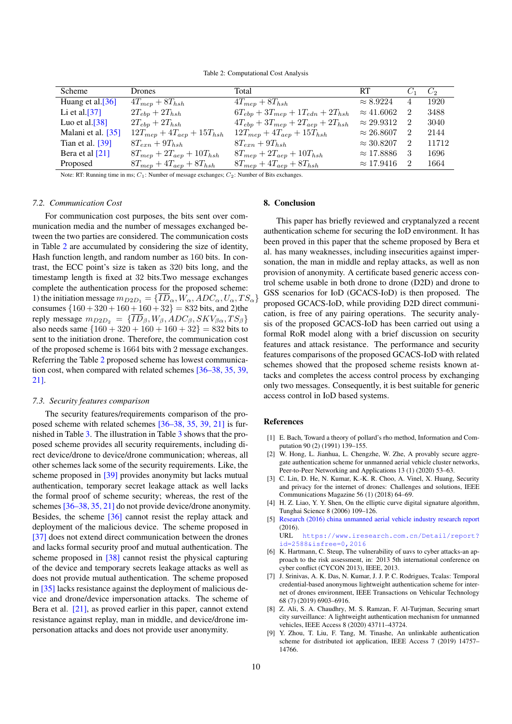Table 2: Computational Cost Analysis

<span id="page-10-9"></span>

| Scheme             | Drones                             | Total                                       | RT $C_1$ $C_2$      |                |       |
|--------------------|------------------------------------|---------------------------------------------|---------------------|----------------|-------|
| Huang et al.[36]   | $4T_{mep} + 8T_{hsh}$              | $4T_{mep} + 8T_{hsh}$                       | $\approx 8.9224$    | $\overline{4}$ | 1920  |
| Li et al. $[37]$   | $2T_{ebp} + 2T_{hsh}$              | $6T_{ebp} + 3T_{mep} + 1T_{edn} + 2T_{hsh}$ | $\approx 41.6062$   | - 2            | 3488  |
| Luo et al. $[38]$  | $2T_{ebp} + 2T_{hsh}$              | $4T_{ebp} + 3T_{mep} + 2T_{aep} + 2T_{hsh}$ | $\approx 29.9312$ 2 |                | 3040  |
| Malani et al. [35] | $12T_{mep} + 4T_{aep} + 15T_{hsh}$ | $12T_{mep} + 4T_{aep} + 15T_{hsh}$          | $\approx 26.8607$   | -2             | 2144  |
| Tian et al. $[39]$ | $8T_{exn}+9T_{hsh}$                | $8T_{exn}+9T_{hsh}$                         | $\approx 30.8207$   | $\overline{2}$ | 11712 |
| Bera et al [21]    | $8T_{mep} + 2T_{aep} + 10T_{hsh}$  | $8T_{mep} + 2T_{aep} + 10T_{hsh}$           | $\approx$ 17.8886   | -3             | 1696  |
| Proposed           | $8T_{mep} + 4T_{aep} + 8T_{hsh}$   | $8T_{mep} + 4T_{aep} + 8T_{hsh}$            | $\approx 17.9416$   | -2             | 1664  |

Note: RT: Running time in ms;  $C_1$ : Number of message exchanges;  $C_2$ : Number of Bits exchanges.

## *7.2. Communication Cost*

For communication cost purposes, the bits sent over communication media and the number of messages exchanged between the two parties are considered. The communication costs in Table [2](#page-10-9) are accumulated by considering the size of identity, Hash function length, and random number as 160 bits. In contrast, the ECC point's size is taken as 320 bits long, and the timestamp length is fixed at 32 bits.Two message exchanges complete the authentication process for the proposed scheme: 1) the initiation message  $m_{D2D_1} = {\overline{ID}_{\alpha}, W_{\alpha}, ADC_{\alpha}, U_{\alpha}, TS_{\alpha}}$ consumes  ${160 + 320 + 160 + 160 + 32}$  = 832 bits, and 2)the reply message  $m_{D2D_2} = {\overline{ID}_{\beta}, W_{\beta}, ADC_{\beta}, SKV_{\beta\alpha}, TS_{\beta}}$ also needs same  ${160 + 320 + 160 + 160 + 32}$  = 832 bits to sent to the initiation drone. Therefore, the communication cost of the proposed scheme is 1664 bits with 2 message exchanges. Referring the Table [2](#page-10-9) proposed scheme has lowest communication cost, when compared with related schemes [\[36](#page-11-19)[–38,](#page-11-20) [35,](#page-11-18) [39,](#page-12-0) [21\]](#page-11-7).

## *7.3. Security features comparison*

The security features/requirements comparison of the proposed scheme with related schemes [\[36](#page-11-19)[–38,](#page-11-20) [35,](#page-11-18) [39,](#page-12-0) [21\]](#page-11-7) is furnished in Table [3.](#page-11-22) The illustration in Table [3](#page-11-22) shows that the proposed scheme provides all security requirements, including direct device/drone to device/drone communication; whereas, all other schemes lack some of the security requirements. Like, the scheme proposed in [\[39\]](#page-12-0) provides anonymity but lacks mutual authentication, temporary secret leakage attack as well lacks the formal proof of scheme security; whereas, the rest of the schemes [\[36–](#page-11-19)[38,](#page-11-20) [35,](#page-11-18) [21\]](#page-11-7) do not provide device/drone anonymity. Besides, the scheme [\[36\]](#page-11-19) cannot resist the replay attack and deployment of the malicious device. The scheme proposed in [\[37\]](#page-11-21) does not extend direct communication between the drones and lacks formal security proof and mutual authentication. The scheme proposed in [\[38\]](#page-11-20) cannot resist the physical capturing of the device and temporary secrets leakage attacks as well as does not provide mutual authentication. The scheme proposed in [\[35\]](#page-11-18) lacks resistance against the deployment of malicious device and drone/device impersonation attacks. The scheme of Bera et al. [\[21\]](#page-11-7), as proved earlier in this paper, cannot extend resistance against replay, man in middle, and device/drone impersonation attacks and does not provide user anonymity.

## 8. Conclusion

This paper has briefly reviewed and cryptanalyzed a recent authentication scheme for securing the IoD environment. It has been proved in this paper that the scheme proposed by Bera et al. has many weaknesses, including insecurities against impersonation, the man in middle and replay attacks, as well as non provision of anonymity. A certificate based generic access control scheme usable in both drone to drone (D2D) and drone to GSS scenarios for IoD (GCACS-IoD) is then proposed. The proposed GCACS-IoD, while providing D2D direct communication, is free of any pairing operations. The security analysis of the proposed GCACS-IoD has been carried out using a formal RoR model along with a brief discussion on security features and attack resistance. The performance and security features comparisons of the proposed GCACS-IoD with related schemes showed that the proposed scheme resists known attacks and completes the access control process by exchanging only two messages. Consequently, it is best suitable for generic access control in IoD based systems.

#### References

- <span id="page-10-0"></span>[1] E. Bach, Toward a theory of pollard's rho method, Information and Computation 90 (2) (1991) 139–155.
- <span id="page-10-1"></span>[2] W. Hong, L. Jianhua, L. Chengzhe, W. Zhe, A provably secure aggregate authentication scheme for unmanned aerial vehicle cluster networks, Peer-to-Peer Networking and Applications 13 (1) (2020) 53–63.
- <span id="page-10-2"></span>[3] C. Lin, D. He, N. Kumar, K.-K. R. Choo, A. Vinel, X. Huang, Security and privacy for the internet of drones: Challenges and solutions, IEEE Communications Magazine 56 (1) (2018) 64–69.
- <span id="page-10-3"></span>[4] H. Z. Liao, Y. Y. Shen, On the elliptic curve digital signature algorithm, Tunghai Science 8 (2006) 109–126.
- <span id="page-10-4"></span>[5] [Research \(2016\) china unmanned aerial vehicle industry research report](https://www.iresearch.com.cn/Detail/report?id=2588&isfree=0,2016) (2016).

URL [https://www.iresearch.com.cn/Detail/report?](https://www.iresearch.com.cn/Detail/report?id=2588&isfree=0,2016) [id=2588&isfree=0,2016](https://www.iresearch.com.cn/Detail/report?id=2588&isfree=0,2016)

- <span id="page-10-5"></span>[6] K. Hartmann, C. Steup, The vulnerability of uavs to cyber attacks-an approach to the risk assessment, in: 2013 5th international conference on cyber conflict (CYCON 2013), IEEE, 2013.
- <span id="page-10-6"></span>[7] J. Srinivas, A. K. Das, N. Kumar, J. J. P. C. Rodrigues, Tcalas: Temporal credential-based anonymous lightweight authentication scheme for internet of drones environment, IEEE Transactions on Vehicular Technology 68 (7) (2019) 6903–6916.
- <span id="page-10-7"></span>[8] Z. Ali, S. A. Chaudhry, M. S. Ramzan, F. Al-Turjman, Securing smart city surveillance: A lightweight authentication mechanism for unmanned vehicles, IEEE Access 8 (2020) 43711–43724.
- <span id="page-10-8"></span>[9] Y. Zhou, T. Liu, F. Tang, M. Tinashe, An unlinkable authentication scheme for distributed iot application, IEEE Access 7 (2019) 14757– 14766.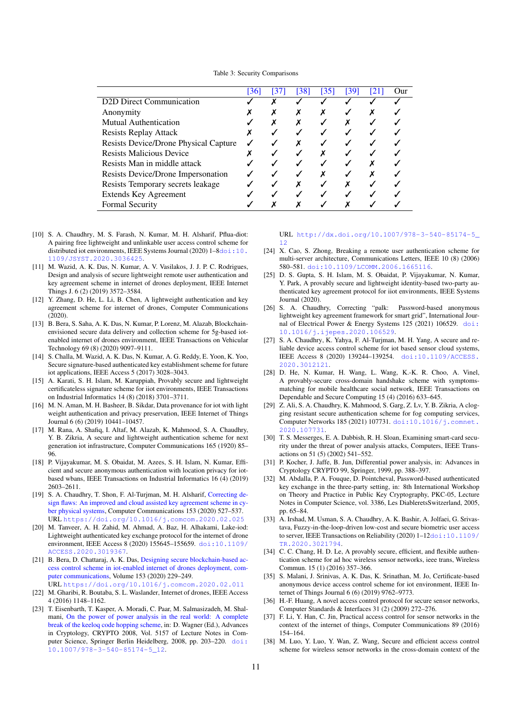Table 3: Security Comparisons

<span id="page-11-22"></span>

|                                       | [36] | [37] | [38] | [35] | [39] | [21] | Our |
|---------------------------------------|------|------|------|------|------|------|-----|
| D2D Direct Communication              |      |      |      |      |      |      |     |
| Anonymity                             |      |      |      |      |      |      |     |
| <b>Mutual Authentication</b>          |      |      |      |      |      |      |     |
| <b>Resists Replay Attack</b>          |      |      |      |      |      |      |     |
| Resists Device/Drone Physical Capture |      |      |      |      |      |      |     |
| <b>Resists Malicious Device</b>       |      |      |      |      |      |      |     |
| Resists Man in middle attack          |      |      |      |      |      |      |     |
| Resists Device/Drone Impersonation    |      |      |      |      |      |      |     |
| Resists Temporary secrets leakage     |      |      |      |      |      |      |     |
| <b>Extends Key Agreement</b>          |      |      |      |      |      |      |     |
| <b>Formal Security</b>                |      |      |      |      |      |      |     |

- <span id="page-11-0"></span>[10] S. A. Chaudhry, M. S. Farash, N. Kumar, M. H. Alsharif, Pflua-diot: A pairing free lightweight and unlinkable user access control scheme for distributed iot environments, IEEE Systems Journal (2020) 1-8[doi:10.](https://doi.org/10.1109/JSYST.2020.3036425) [1109/JSYST.2020.3036425](https://doi.org/10.1109/JSYST.2020.3036425).
- <span id="page-11-1"></span>[11] M. Wazid, A. K. Das, N. Kumar, A. V. Vasilakos, J. J. P. C. Rodrigues, Design and analysis of secure lightweight remote user authentication and key agreement scheme in internet of drones deployment, IEEE Internet Things J. 6 (2) (2019) 3572–3584.
- <span id="page-11-2"></span>[12] Y. Zhang, D. He, L. Li, B. Chen, A lightweight authentication and key agreement scheme for internet of drones, Computer Communications (2020).
- <span id="page-11-3"></span>[13] B. Bera, S. Saha, A. K. Das, N. Kumar, P. Lorenz, M. Alazab, Blockchainenvisioned secure data delivery and collection scheme for 5g-based iotenabled internet of drones environment, IEEE Transactions on Vehicular Technology 69 (8) (2020) 9097–9111.
- <span id="page-11-4"></span>[14] S. Challa, M. Wazid, A. K. Das, N. Kumar, A. G. Reddy, E. Yoon, K. Yoo, Secure signature-based authenticated key establishment scheme for future iot applications, IEEE Access 5 (2017) 3028–3043.
- [15] A. Karati, S. H. Islam, M. Karuppiah, Provably secure and lightweight certificateless signature scheme for iiot environments, IEEE Transactions on Industrial Informatics 14 (8) (2018) 3701–3711.
- [16] M. N. Aman, M. H. Basheer, B. Sikdar, Data provenance for iot with light weight authentication and privacy preservation, IEEE Internet of Things Journal 6 (6) (2019) 10441–10457.
- [17] M. Rana, A. Shafiq, I. Altaf, M. Alazab, K. Mahmood, S. A. Chaudhry, Y. B. Zikria, A secure and lightweight authentication scheme for next generation iot infrastructure, Computer Communications 165 (1920) 85– 96.
- <span id="page-11-17"></span>[18] P. Vijayakumar, M. S. Obaidat, M. Azees, S. H. Islam, N. Kumar, Efficient and secure anonymous authentication with location privacy for iotbased wbans, IEEE Transactions on Industrial Informatics 16 (4) (2019) 2603–2611.
- <span id="page-11-5"></span>[19] S. A. Chaudhry, T. Shon, F. Al-Turjman, M. H. Alsharif, [Correcting de](https://doi.org/10.1016/j.comcom.2020.02.025)[sign flaws: An improved and cloud assisted key agreement scheme in cy](https://doi.org/10.1016/j.comcom.2020.02.025)[ber physical systems,](https://doi.org/10.1016/j.comcom.2020.02.025) Computer Communications 153 (2020) 527–537. URL <https://doi.org/10.1016/j.comcom.2020.02.025>
- <span id="page-11-6"></span>[20] M. Tanveer, A. H. Zahid, M. Ahmad, A. Baz, H. Alhakami, Lake-iod: Lightweight authenticated key exchange protocol for the internet of drone environment, IEEE Access 8 (2020) 155645–155659. [doi:10.1109/](https://doi.org/10.1109/ACCESS.2020.3019367) [ACCESS.2020.3019367](https://doi.org/10.1109/ACCESS.2020.3019367).
- <span id="page-11-7"></span>[21] B. Bera, D. Chattaraj, A. K. Das, [Designing secure blockchain-based ac](https://doi.org/10.1016/j.comcom.2020.02.011)[cess control scheme in iot-enabled internet of drones deployment, com](https://doi.org/10.1016/j.comcom.2020.02.011)[puter communications,](https://doi.org/10.1016/j.comcom.2020.02.011) Volume 153 (2020) 229–249. URL <https://doi.org/10.1016/j.comcom.2020.02.011>
- <span id="page-11-8"></span>[22] M. Gharibi, R. Boutaba, S. L. Waslander, Internet of drones, IEEE Access 4 (2016) 1148–1162.
- <span id="page-11-9"></span>[23] T. Eisenbarth, T. Kasper, A. Moradi, C. Paar, M. Salmasizadeh, M. Shalmani, [On the power of power analysis in the real world: A complete](http://dx.doi.org/10.1007/978-3-540-85174-5_12) [break of the keeloq code hopping scheme,](http://dx.doi.org/10.1007/978-3-540-85174-5_12) in: D. Wagner (Ed.), Advances in Cryptology, CRYPTO 2008, Vol. 5157 of Lecture Notes in Computer Science, Springer Berlin Heidelberg, 2008, pp. 203–220. [doi:](https://doi.org/10.1007/978-3-540-85174-5_12) [10.1007/978-3-540-85174-5\\_12](https://doi.org/10.1007/978-3-540-85174-5_12).

URL [http://dx.doi.org/10.1007/978-3-540-85174-5\\_](http://dx.doi.org/10.1007/978-3-540-85174-5_12) [12](http://dx.doi.org/10.1007/978-3-540-85174-5_12)

- [24] X. Cao, S. Zhong, Breaking a remote user authentication scheme for multi-server architecture, Communications Letters, IEEE 10 (8) (2006) 580–581. [doi:10.1109/LCOMM.2006.1665116](https://doi.org/10.1109/LCOMM.2006.1665116).
- [25] D. S. Gupta, S. H. Islam, M. S. Obaidat, P. Vijayakumar, N. Kumar, Y. Park, A provably secure and lightweight identity-based two-party authenticated key agreement protocol for iiot environments, IEEE Systems Journal (2020).
- [26] S. A. Chaudhry, Correcting "palk: Password-based anonymous lightweight key agreement framework for smart grid", International Journal of Electrical Power & Energy Systems 125 (2021) 106529. [doi:](https://doi.org/10.1016/j.ijepes.2020.106529) [10.1016/j.ijepes.2020.106529](https://doi.org/10.1016/j.ijepes.2020.106529).
- [27] S. A. Chaudhry, K. Yahya, F. Al-Turjman, M. H. Yang, A secure and reliable device access control scheme for iot based sensor cloud systems, IEEE Access 8 (2020) 139244–139254. [doi:10.1109/ACCESS.](https://doi.org/10.1109/ACCESS.2020.3012121) [2020.3012121](https://doi.org/10.1109/ACCESS.2020.3012121).
- <span id="page-11-15"></span>[28] D. He, N. Kumar, H. Wang, L. Wang, K.-K. R. Choo, A. Vinel, A provably-secure cross-domain handshake scheme with symptomsmatching for mobile healthcare social network, IEEE Transactions on Dependable and Secure Computing 15 (4) (2016) 633–645.
- <span id="page-11-10"></span>[29] Z. Ali, S. A. Chaudhry, K. Mahmood, S. Garg, Z. Lv, Y. B. Zikria, A clogging resistant secure authentication scheme for fog computing services, Computer Networks 185 (2021) 107731. [doi:10.1016/j.comnet.](https://doi.org/10.1016/j.comnet.2020.107731) [2020.107731](https://doi.org/10.1016/j.comnet.2020.107731).
- <span id="page-11-11"></span>[30] T. S. Messerges, E. A. Dabbish, R. H. Sloan, Examining smart-card security under the threat of power analysis attacks, Computers, IEEE Transactions on 51 (5) (2002) 541–552.
- <span id="page-11-12"></span>[31] P. Kocher, J. Jaffe, B. Jun, Differential power analysis, in: Advances in Cryptology CRYPTO 99, Springer, 1999, pp. 388–397.
- <span id="page-11-13"></span>[32] M. Abdalla, P. A. Fouque, D. Pointcheval, Password-based authenticated key exchange in the three-party setting, in: 8th International Workshop on Theory and Practice in Public Key Cryptography, PKC-05, Lecture Notes in Computer Science, vol. 3386, Les DiableretsSwitzerland, 2005, pp. 65–84.
- <span id="page-11-14"></span>[33] A. Irshad, M. Usman, S. A. Chaudhry, A. K. Bashir, A. Jolfaei, G. Srivastava, Fuzzy-in-the-loop-driven low-cost and secure biometric user access to server, IEEE Transactions on Reliability (2020) 1–12[doi:10.1109/](https://doi.org/10.1109/TR.2020.3021794) [TR.2020.3021794](https://doi.org/10.1109/TR.2020.3021794).
- <span id="page-11-16"></span>[34] C. C. Chang, H. D. Le, A provably secure, efficient, and flexible authentication scheme for ad hoc wireless sensor networks, ieee trans, Wireless Commun. 15 (1) (2016) 357–366.
- <span id="page-11-18"></span>[35] S. Malani, J. Srinivas, A. K. Das, K. Srinathan, M. Jo, Certificate-based anonymous device access control scheme for iot environment, IEEE Internet of Things Journal 6 (6) (2019) 9762–9773.
- <span id="page-11-19"></span>[36] H.-F. Huang, A novel access control protocol for secure sensor networks, Computer Standards & Interfaces 31 (2) (2009) 272–276.
- <span id="page-11-21"></span>[37] F. Li, Y. Han, C. Jin, Practical access control for sensor networks in the context of the internet of things, Computer Communications 89 (2016) 154–164.
- <span id="page-11-20"></span>[38] M. Luo, Y. Luo, Y. Wan, Z. Wang, Secure and efficient access control scheme for wireless sensor networks in the cross-domain context of the